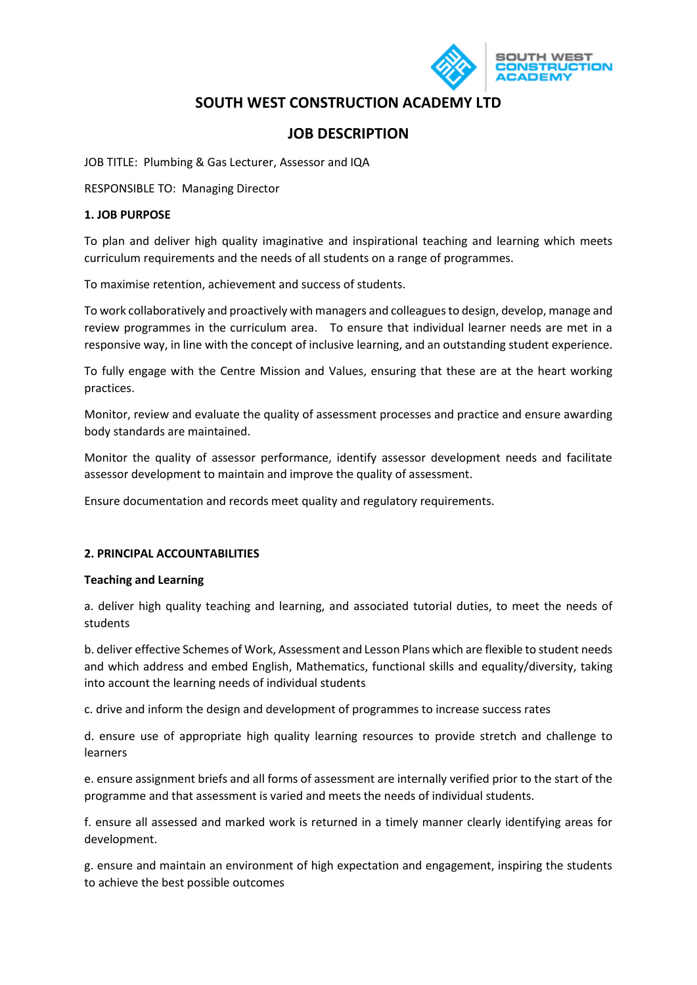

# **SOUTH WEST CONSTRUCTION ACADEMY LTD**

## **JOB DESCRIPTION**

JOB TITLE: Plumbing & Gas Lecturer, Assessor and IQA

RESPONSIBLE TO: Managing Director

#### **1. JOB PURPOSE**

To plan and deliver high quality imaginative and inspirational teaching and learning which meets curriculum requirements and the needs of all students on a range of programmes.

To maximise retention, achievement and success of students.

To work collaboratively and proactively with managers and colleagues to design, develop, manage and review programmes in the curriculum area. To ensure that individual learner needs are met in a responsive way, in line with the concept of inclusive learning, and an outstanding student experience.

To fully engage with the Centre Mission and Values, ensuring that these are at the heart working practices.

Monitor, review and evaluate the quality of assessment processes and practice and ensure awarding body standards are maintained.

Monitor the quality of assessor performance, identify assessor development needs and facilitate assessor development to maintain and improve the quality of assessment.

Ensure documentation and records meet quality and regulatory requirements.

#### **2. PRINCIPAL ACCOUNTABILITIES**

#### **Teaching and Learning**

a. deliver high quality teaching and learning, and associated tutorial duties, to meet the needs of students

b. deliver effective Schemes of Work, Assessment and Lesson Plans which are flexible to student needs and which address and embed English, Mathematics, functional skills and equality/diversity, taking into account the learning needs of individual students

c. drive and inform the design and development of programmes to increase success rates

d. ensure use of appropriate high quality learning resources to provide stretch and challenge to learners

e. ensure assignment briefs and all forms of assessment are internally verified prior to the start of the programme and that assessment is varied and meets the needs of individual students.

f. ensure all assessed and marked work is returned in a timely manner clearly identifying areas for development.

g. ensure and maintain an environment of high expectation and engagement, inspiring the students to achieve the best possible outcomes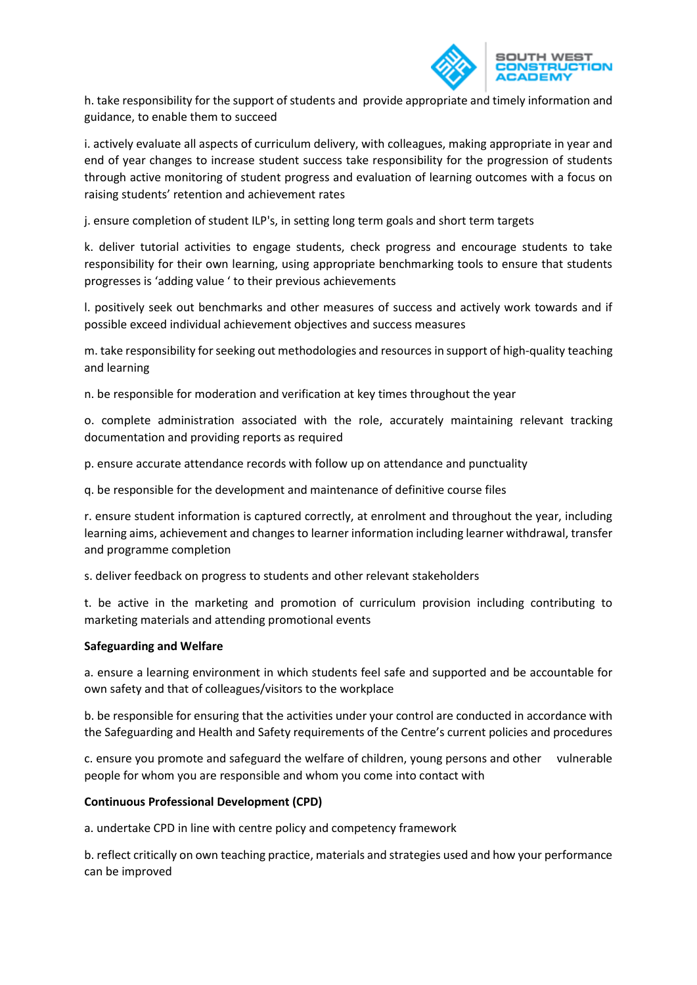

h. take responsibility for the support of students and provide appropriate and timely information and guidance, to enable them to succeed

i. actively evaluate all aspects of curriculum delivery, with colleagues, making appropriate in year and end of year changes to increase student success take responsibility for the progression of students through active monitoring of student progress and evaluation of learning outcomes with a focus on raising students' retention and achievement rates

j. ensure completion of student ILP's, in setting long term goals and short term targets

k. deliver tutorial activities to engage students, check progress and encourage students to take responsibility for their own learning, using appropriate benchmarking tools to ensure that students progresses is 'adding value ' to their previous achievements

l. positively seek out benchmarks and other measures of success and actively work towards and if possible exceed individual achievement objectives and success measures

m. take responsibility for seeking out methodologies and resources in support of high-quality teaching and learning

n. be responsible for moderation and verification at key times throughout the year

o. complete administration associated with the role, accurately maintaining relevant tracking documentation and providing reports as required

p. ensure accurate attendance records with follow up on attendance and punctuality

q. be responsible for the development and maintenance of definitive course files

r. ensure student information is captured correctly, at enrolment and throughout the year, including learning aims, achievement and changes to learner information including learner withdrawal, transfer and programme completion

s. deliver feedback on progress to students and other relevant stakeholders

t. be active in the marketing and promotion of curriculum provision including contributing to marketing materials and attending promotional events

#### **Safeguarding and Welfare**

a. ensure a learning environment in which students feel safe and supported and be accountable for own safety and that of colleagues/visitors to the workplace

b. be responsible for ensuring that the activities under your control are conducted in accordance with the Safeguarding and Health and Safety requirements of the Centre's current policies and procedures

c. ensure you promote and safeguard the welfare of children, young persons and other vulnerable people for whom you are responsible and whom you come into contact with

#### **Continuous Professional Development (CPD)**

a. undertake CPD in line with centre policy and competency framework

b. reflect critically on own teaching practice, materials and strategies used and how your performance can be improved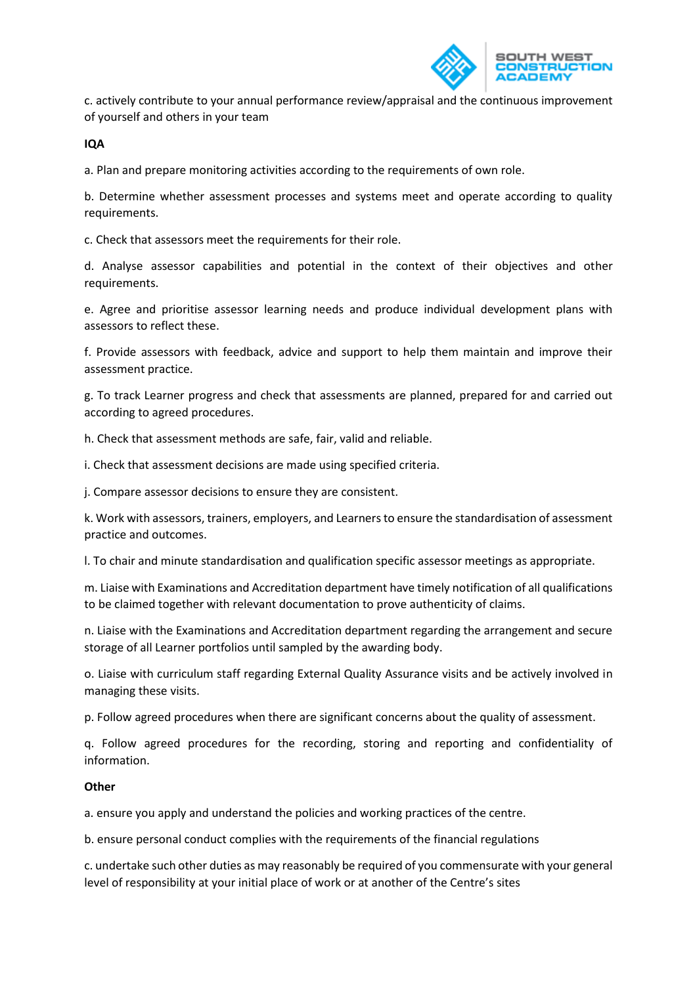

c. actively contribute to your annual performance review/appraisal and the continuous improvement of yourself and others in your team

**IQA**

a. Plan and prepare monitoring activities according to the requirements of own role.

b. Determine whether assessment processes and systems meet and operate according to quality requirements.

c. Check that assessors meet the requirements for their role.

d. Analyse assessor capabilities and potential in the context of their objectives and other requirements.

e. Agree and prioritise assessor learning needs and produce individual development plans with assessors to reflect these.

f. Provide assessors with feedback, advice and support to help them maintain and improve their assessment practice.

g. To track Learner progress and check that assessments are planned, prepared for and carried out according to agreed procedures.

h. Check that assessment methods are safe, fair, valid and reliable.

i. Check that assessment decisions are made using specified criteria.

j. Compare assessor decisions to ensure they are consistent.

k. Work with assessors, trainers, employers, and Learners to ensure the standardisation of assessment practice and outcomes.

l. To chair and minute standardisation and qualification specific assessor meetings as appropriate.

m. Liaise with Examinations and Accreditation department have timely notification of all qualifications to be claimed together with relevant documentation to prove authenticity of claims.

n. Liaise with the Examinations and Accreditation department regarding the arrangement and secure storage of all Learner portfolios until sampled by the awarding body.

o. Liaise with curriculum staff regarding External Quality Assurance visits and be actively involved in managing these visits.

p. Follow agreed procedures when there are significant concerns about the quality of assessment.

q. Follow agreed procedures for the recording, storing and reporting and confidentiality of information.

### **Other**

a. ensure you apply and understand the policies and working practices of the centre.

b. ensure personal conduct complies with the requirements of the financial regulations

c. undertake such other duties as may reasonably be required of you commensurate with your general level of responsibility at your initial place of work or at another of the Centre's sites